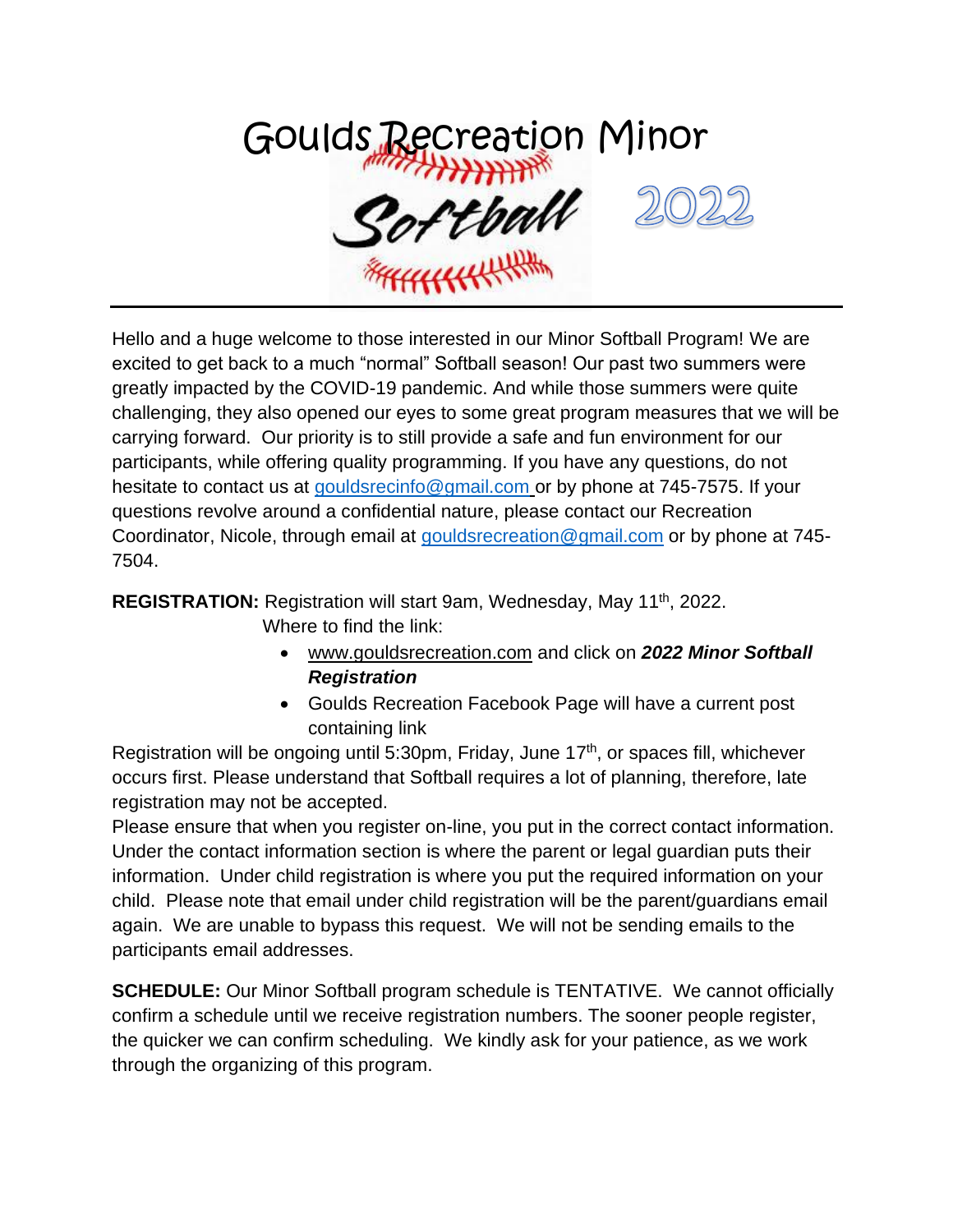

Hello and a huge welcome to those interested in our Minor Softball Program! We are excited to get back to a much "normal" Softball season! Our past two summers were greatly impacted by the COVID-19 pandemic. And while those summers were quite challenging, they also opened our eyes to some great program measures that we will be carrying forward. Our priority is to still provide a safe and fun environment for our participants, while offering quality programming. If you have any questions, do not hesitate to contact us at [gouldsrecinfo@gmail.com](mailto:gouldsrecinfo@gmail.com) or by phone at 745-7575. If your questions revolve around a confidential nature, please contact our Recreation Coordinator, Nicole, through email at [gouldsrecreation@gmail.com](mailto:gouldsrecreation@gmail.com) or by phone at 745- 7504.

**REGISTRATION:** Registration will start 9am, Wednesday, May 11th, 2022.

Where to find the link:

- [www.gouldsrecreation.com](http://www.gouldsrecreation.com/) and click on *2022 Minor Softball Registration*
- Goulds Recreation Facebook Page will have a current post containing link

Registration will be ongoing until 5:30pm, Friday, June 17<sup>th</sup>, or spaces fill, whichever occurs first. Please understand that Softball requires a lot of planning, therefore, late registration may not be accepted.

Please ensure that when you register on-line, you put in the correct contact information. Under the contact information section is where the parent or legal guardian puts their information. Under child registration is where you put the required information on your child. Please note that email under child registration will be the parent/guardians email again. We are unable to bypass this request. We will not be sending emails to the participants email addresses.

**SCHEDULE:** Our Minor Softball program schedule is TENTATIVE. We cannot officially confirm a schedule until we receive registration numbers. The sooner people register, the quicker we can confirm scheduling. We kindly ask for your patience, as we work through the organizing of this program.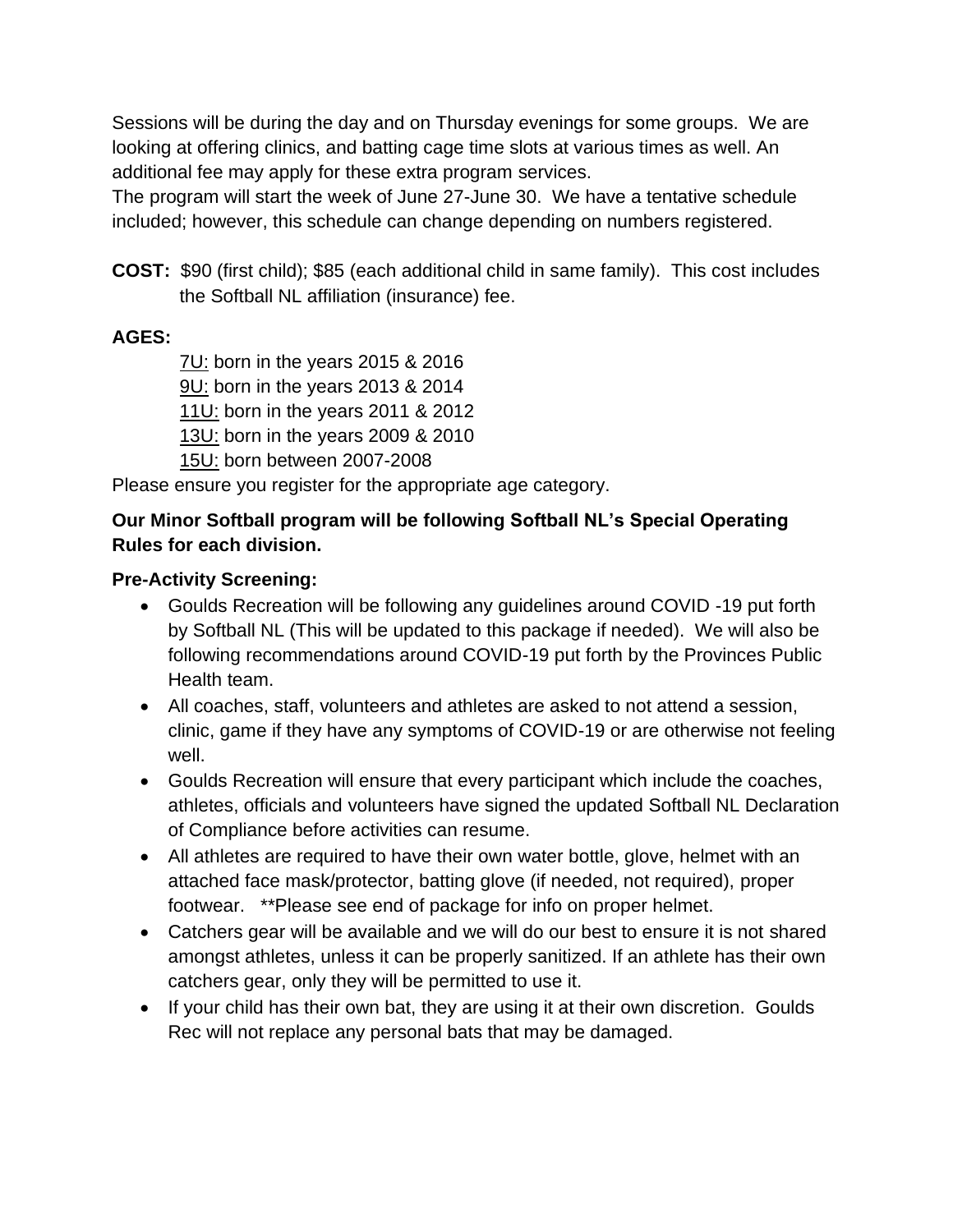Sessions will be during the day and on Thursday evenings for some groups. We are looking at offering clinics, and batting cage time slots at various times as well. An additional fee may apply for these extra program services.

The program will start the week of June 27-June 30. We have a tentative schedule included; however, this schedule can change depending on numbers registered.

**COST:** \$90 (first child); \$85 (each additional child in same family). This cost includes the Softball NL affiliation (insurance) fee.

## **AGES:**

7U: born in the years 2015 & 2016 9U: born in the years 2013 & 2014 11U: born in the years 2011 & 2012 13U: born in the years 2009 & 2010 15U: born between 2007-2008

Please ensure you register for the appropriate age category.

# **Our Minor Softball program will be following Softball NL's Special Operating Rules for each division.**

## **Pre-Activity Screening:**

- Goulds Recreation will be following any guidelines around COVID -19 put forth by Softball NL (This will be updated to this package if needed). We will also be following recommendations around COVID-19 put forth by the Provinces Public Health team.
- All coaches, staff, volunteers and athletes are asked to not attend a session, clinic, game if they have any symptoms of COVID-19 or are otherwise not feeling well.
- Goulds Recreation will ensure that every participant which include the coaches, athletes, officials and volunteers have signed the updated Softball NL Declaration of Compliance before activities can resume.
- All athletes are required to have their own water bottle, glove, helmet with an attached face mask/protector, batting glove (if needed, not required), proper footwear. \*\*Please see end of package for info on proper helmet.
- Catchers gear will be available and we will do our best to ensure it is not shared amongst athletes, unless it can be properly sanitized. If an athlete has their own catchers gear, only they will be permitted to use it.
- If your child has their own bat, they are using it at their own discretion. Goulds Rec will not replace any personal bats that may be damaged.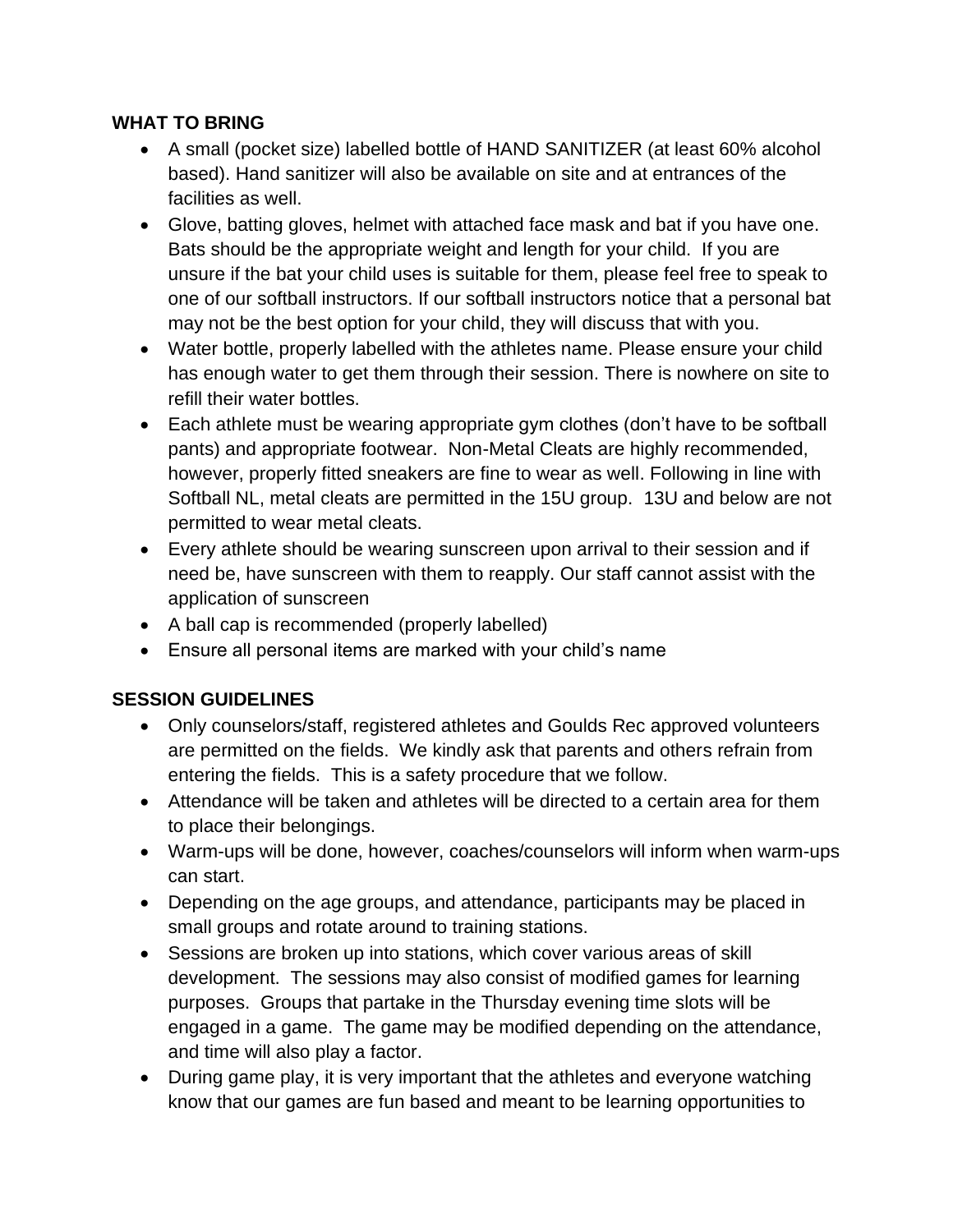#### **WHAT TO BRING**

- A small (pocket size) labelled bottle of HAND SANITIZER (at least 60% alcohol based). Hand sanitizer will also be available on site and at entrances of the facilities as well.
- Glove, batting gloves, helmet with attached face mask and bat if you have one. Bats should be the appropriate weight and length for your child. If you are unsure if the bat your child uses is suitable for them, please feel free to speak to one of our softball instructors. If our softball instructors notice that a personal bat may not be the best option for your child, they will discuss that with you.
- Water bottle, properly labelled with the athletes name. Please ensure your child has enough water to get them through their session. There is nowhere on site to refill their water bottles.
- Each athlete must be wearing appropriate gym clothes (don't have to be softball pants) and appropriate footwear. Non-Metal Cleats are highly recommended, however, properly fitted sneakers are fine to wear as well. Following in line with Softball NL, metal cleats are permitted in the 15U group. 13U and below are not permitted to wear metal cleats.
- Every athlete should be wearing sunscreen upon arrival to their session and if need be, have sunscreen with them to reapply. Our staff cannot assist with the application of sunscreen
- A ball cap is recommended (properly labelled)
- Ensure all personal items are marked with your child's name

# **SESSION GUIDELINES**

- Only counselors/staff, registered athletes and Goulds Rec approved volunteers are permitted on the fields. We kindly ask that parents and others refrain from entering the fields. This is a safety procedure that we follow.
- Attendance will be taken and athletes will be directed to a certain area for them to place their belongings.
- Warm-ups will be done, however, coaches/counselors will inform when warm-ups can start.
- Depending on the age groups, and attendance, participants may be placed in small groups and rotate around to training stations.
- Sessions are broken up into stations, which cover various areas of skill development. The sessions may also consist of modified games for learning purposes. Groups that partake in the Thursday evening time slots will be engaged in a game. The game may be modified depending on the attendance, and time will also play a factor.
- During game play, it is very important that the athletes and everyone watching know that our games are fun based and meant to be learning opportunities to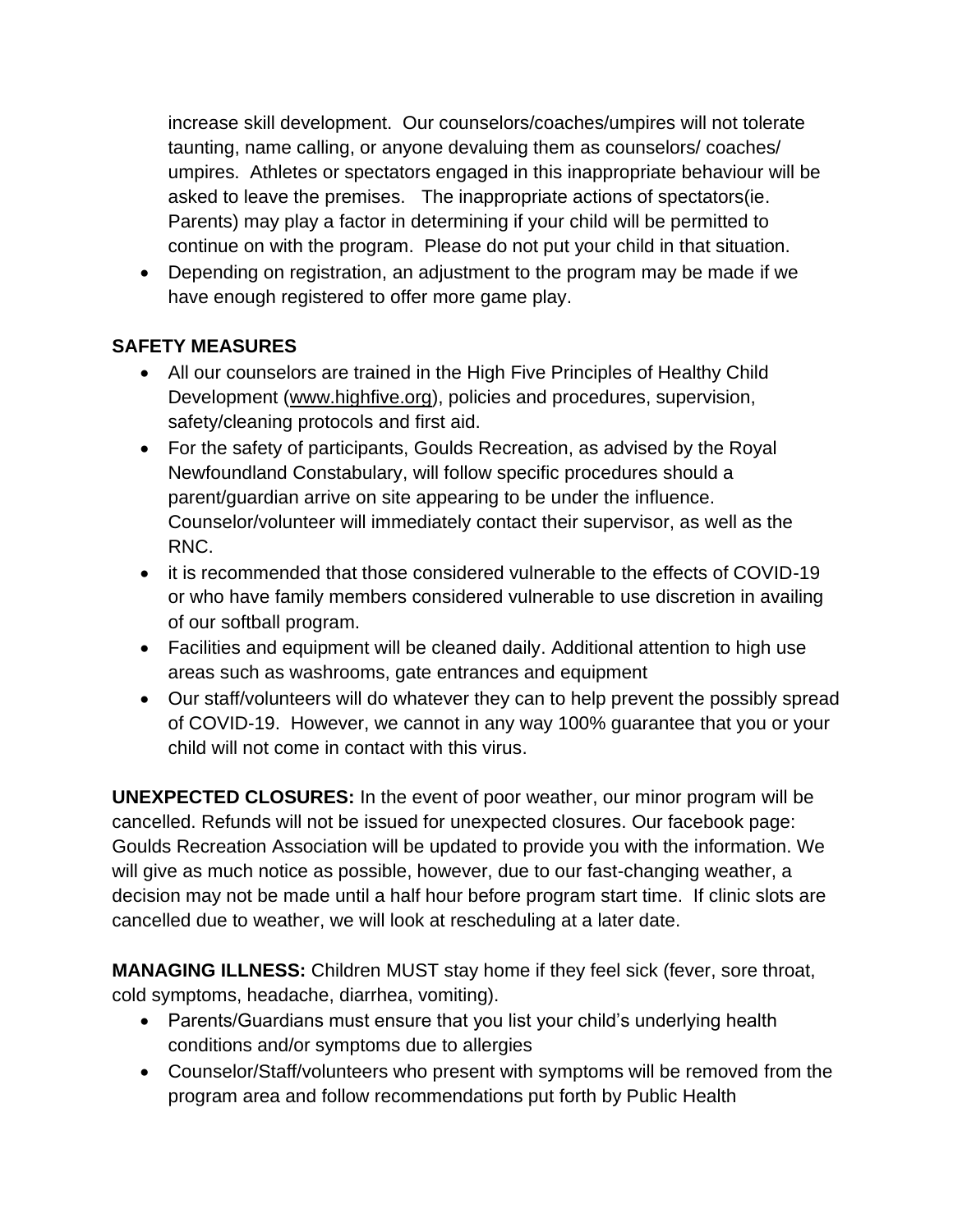increase skill development. Our counselors/coaches/umpires will not tolerate taunting, name calling, or anyone devaluing them as counselors/ coaches/ umpires. Athletes or spectators engaged in this inappropriate behaviour will be asked to leave the premises. The inappropriate actions of spectators(ie. Parents) may play a factor in determining if your child will be permitted to continue on with the program. Please do not put your child in that situation.

• Depending on registration, an adjustment to the program may be made if we have enough registered to offer more game play.

## **SAFETY MEASURES**

- All our counselors are trained in the High Five Principles of Healthy Child Development [\(www.highfive.org\)](http://www.highfive.org/), policies and procedures, supervision, safety/cleaning protocols and first aid.
- For the safety of participants, Goulds Recreation, as advised by the Royal Newfoundland Constabulary, will follow specific procedures should a parent/guardian arrive on site appearing to be under the influence. Counselor/volunteer will immediately contact their supervisor, as well as the RNC.
- it is recommended that those considered vulnerable to the effects of COVID-19 or who have family members considered vulnerable to use discretion in availing of our softball program.
- Facilities and equipment will be cleaned daily. Additional attention to high use areas such as washrooms, gate entrances and equipment
- Our staff/volunteers will do whatever they can to help prevent the possibly spread of COVID-19. However, we cannot in any way 100% guarantee that you or your child will not come in contact with this virus.

**UNEXPECTED CLOSURES:** In the event of poor weather, our minor program will be cancelled. Refunds will not be issued for unexpected closures. Our facebook page: Goulds Recreation Association will be updated to provide you with the information. We will give as much notice as possible, however, due to our fast-changing weather, a decision may not be made until a half hour before program start time. If clinic slots are cancelled due to weather, we will look at rescheduling at a later date.

**MANAGING ILLNESS:** Children MUST stay home if they feel sick (fever, sore throat, cold symptoms, headache, diarrhea, vomiting).

- Parents/Guardians must ensure that you list your child's underlying health conditions and/or symptoms due to allergies
- Counselor/Staff/volunteers who present with symptoms will be removed from the program area and follow recommendations put forth by Public Health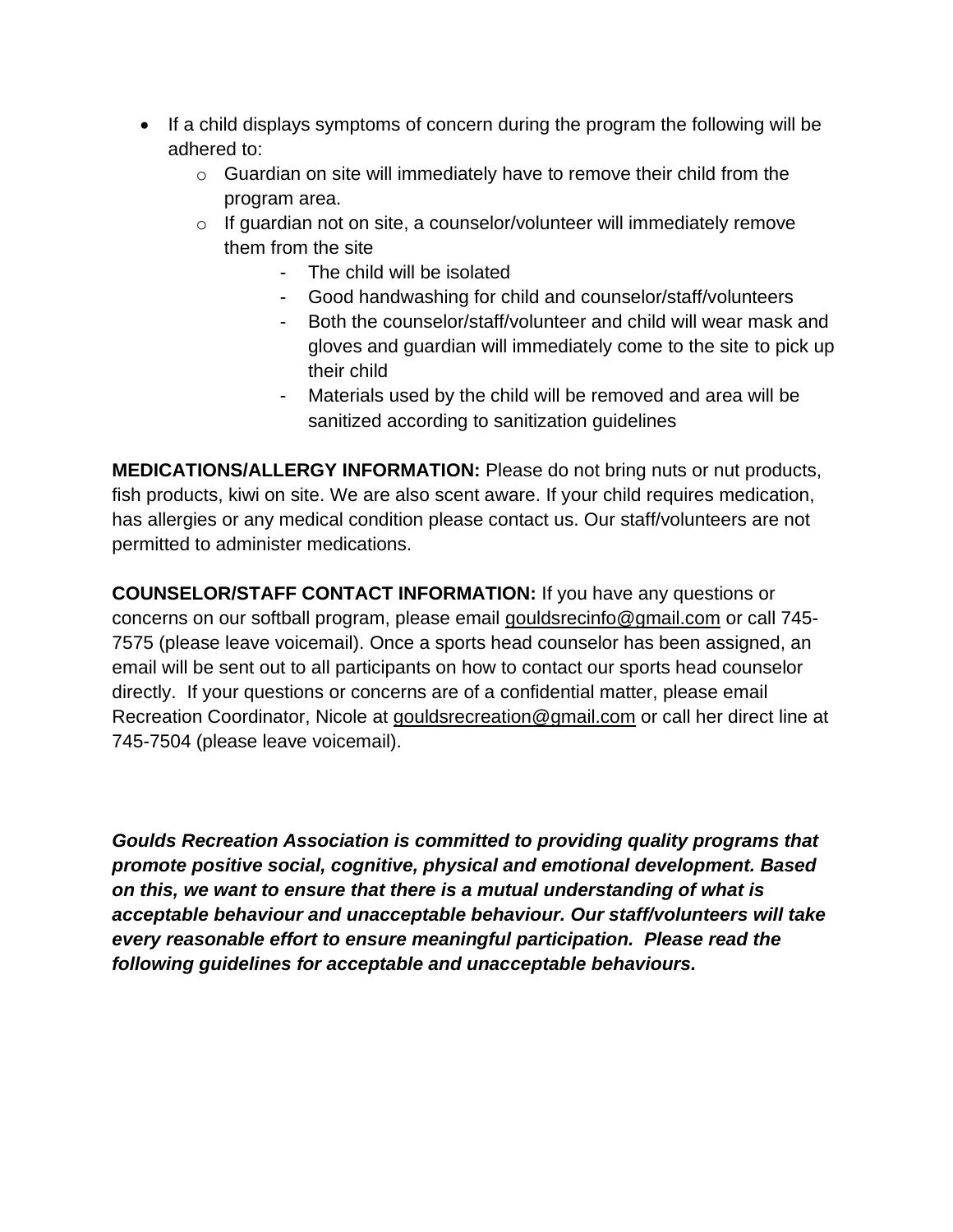- If a child displays symptoms of concern during the program the following will be adhered to:
	- o Guardian on site will immediately have to remove their child from the program area.
	- o If guardian not on site, a counselor/volunteer will immediately remove them from the site
		- The child will be isolated
		- Good handwashing for child and counselor/staff/volunteers
		- Both the counselor/staff/volunteer and child will wear mask and gloves and guardian will immediately come to the site to pick up their child
		- Materials used by the child will be removed and area will be sanitized according to sanitization guidelines

**MEDICATIONS/ALLERGY INFORMATION:** Please do not bring nuts or nut products, fish products, kiwi on site. We are also scent aware. If your child requires medication, has allergies or any medical condition please contact us. Our staff/volunteers are not permitted to administer medications.

**COUNSELOR/STAFF CONTACT INFORMATION:** If you have any questions or concerns on our softball program, please email [gouldsrecinfo@gmail.com](mailto:gouldsrecinfo@gmail.com) or call 745- 7575 (please leave voicemail). Once a sports head counselor has been assigned, an email will be sent out to all participants on how to contact our sports head counselor directly. If your questions or concerns are of a confidential matter, please email Recreation Coordinator, Nicole at [gouldsrecreation@gmail.com](mailto:gouldsrecreation@gmail.com) or call her direct line at 745-7504 (please leave voicemail).

*Goulds Recreation Association is committed to providing quality programs that promote positive social, cognitive, physical and emotional development. Based on this, we want to ensure that there is a mutual understanding of what is acceptable behaviour and unacceptable behaviour. Our staff/volunteers will take every reasonable effort to ensure meaningful participation. Please read the following guidelines for acceptable and unacceptable behaviours.*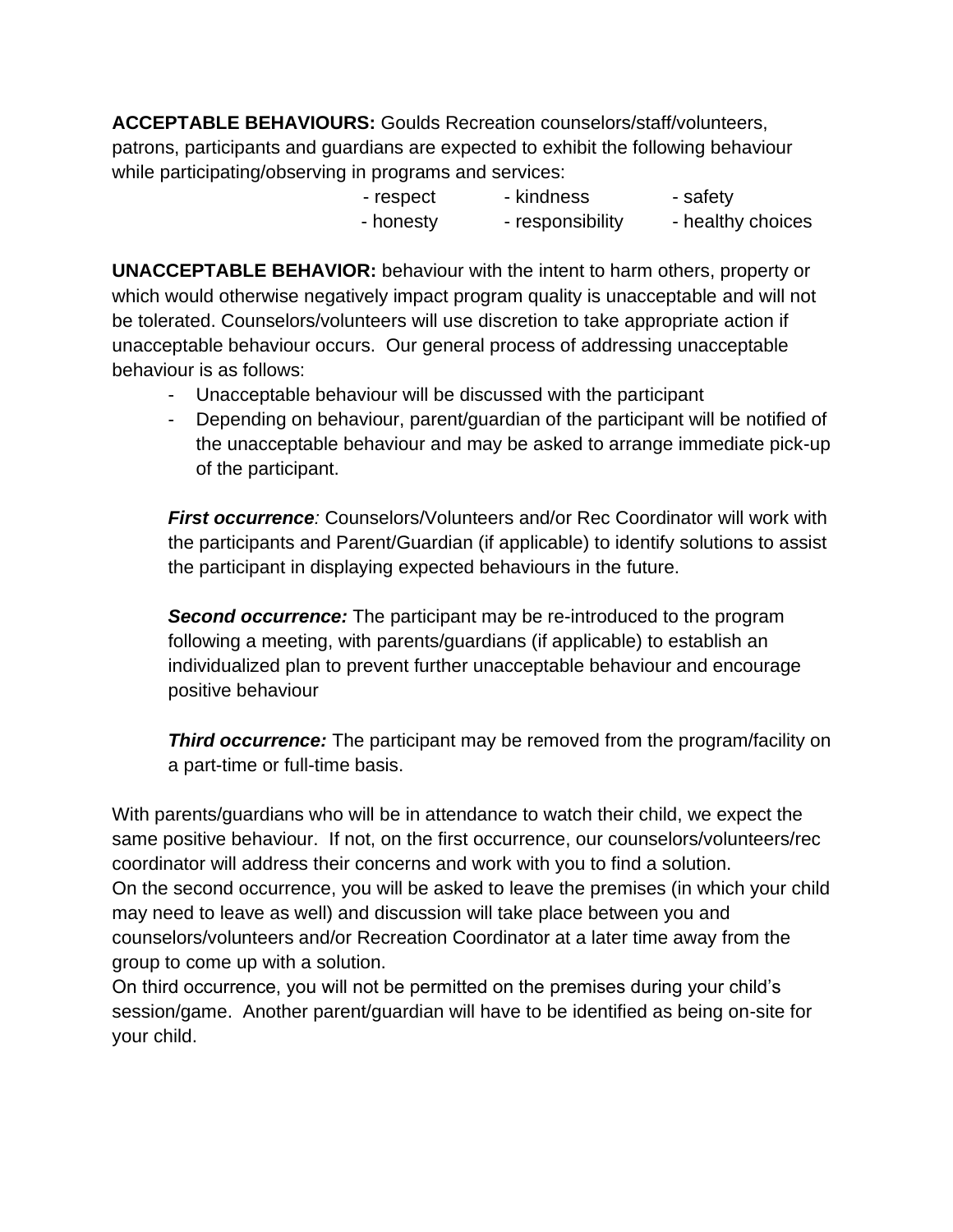**ACCEPTABLE BEHAVIOURS:** Goulds Recreation counselors/staff/volunteers, patrons, participants and guardians are expected to exhibit the following behaviour while participating/observing in programs and services:

> - respect - kindness - safety - honesty - responsibility - healthy choices

**UNACCEPTABLE BEHAVIOR:** behaviour with the intent to harm others, property or which would otherwise negatively impact program quality is unacceptable and will not be tolerated. Counselors/volunteers will use discretion to take appropriate action if unacceptable behaviour occurs. Our general process of addressing unacceptable behaviour is as follows:

- Unacceptable behaviour will be discussed with the participant
- Depending on behaviour, parent/guardian of the participant will be notified of the unacceptable behaviour and may be asked to arrange immediate pick-up of the participant.

*First occurrence:* Counselors/Volunteers and/or Rec Coordinator will work with the participants and Parent/Guardian (if applicable) to identify solutions to assist the participant in displaying expected behaviours in the future.

*Second occurrence:* The participant may be re-introduced to the program following a meeting, with parents/guardians (if applicable) to establish an individualized plan to prevent further unacceptable behaviour and encourage positive behaviour

**Third occurrence:** The participant may be removed from the program/facility on a part-time or full-time basis.

With parents/guardians who will be in attendance to watch their child, we expect the same positive behaviour. If not, on the first occurrence, our counselors/volunteers/rec coordinator will address their concerns and work with you to find a solution. On the second occurrence, you will be asked to leave the premises (in which your child may need to leave as well) and discussion will take place between you and counselors/volunteers and/or Recreation Coordinator at a later time away from the group to come up with a solution.

On third occurrence, you will not be permitted on the premises during your child's session/game. Another parent/guardian will have to be identified as being on-site for your child.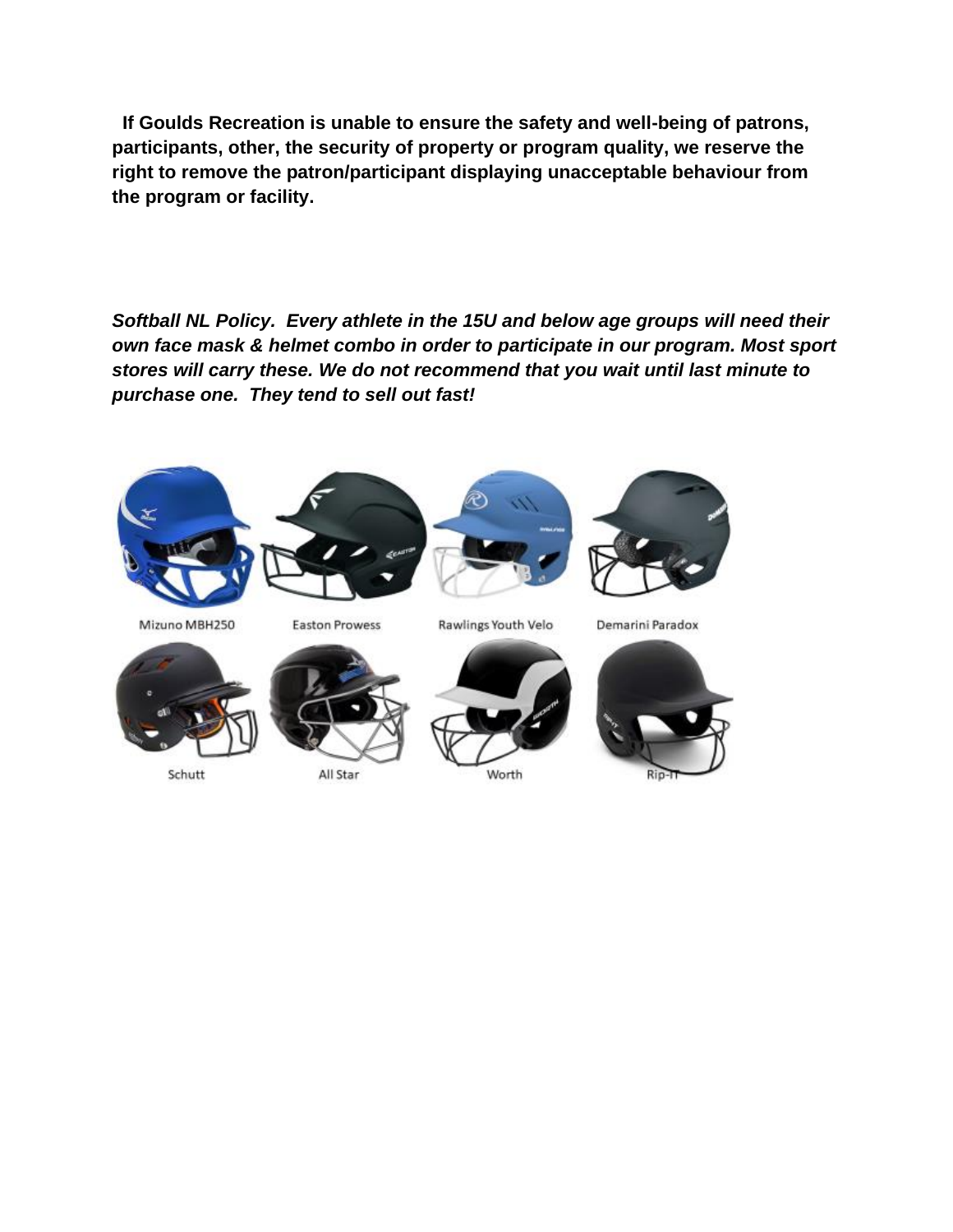**If Goulds Recreation is unable to ensure the safety and well-being of patrons, participants, other, the security of property or program quality, we reserve the right to remove the patron/participant displaying unacceptable behaviour from the program or facility.** 

*Softball NL Policy. Every athlete in the 15U and below age groups will need their own face mask & helmet combo in order to participate in our program. Most sport stores will carry these. We do not recommend that you wait until last minute to purchase one. They tend to sell out fast!* 



Schutt

All Star

Worth